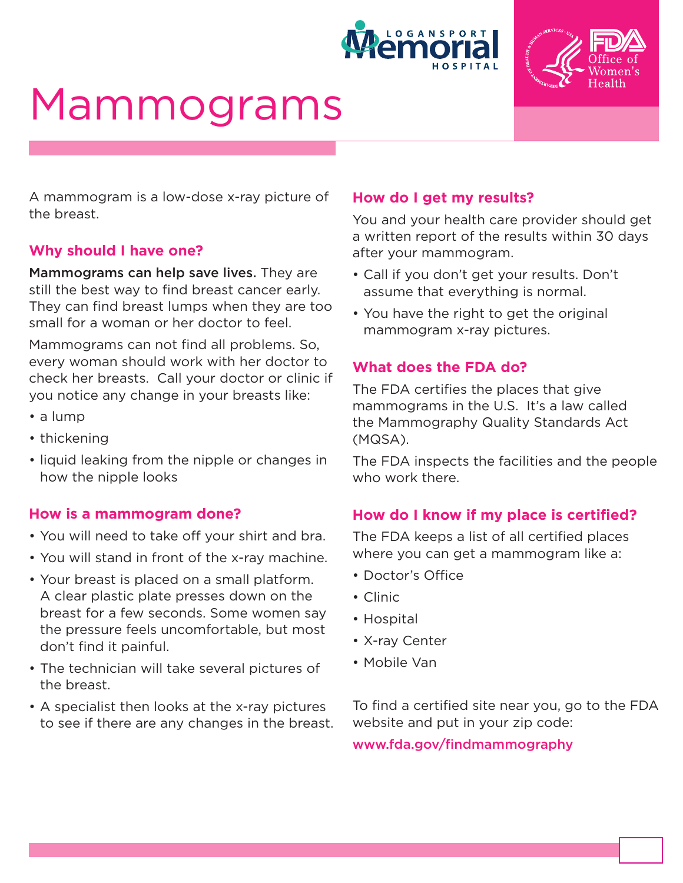



# Mammograms

A mammogram is a low-dose x-ray picture of the breast.

### **Why should I have one?**

Mammograms can help save lives. They are still the best way to find breast cancer early. They can find breast lumps when they are too small for a woman or her doctor to feel.

Mammograms can not find all problems. So, every woman should work with her doctor to check her breasts. Call your doctor or clinic if you notice any change in your breasts like:

- a lump
- thickening
- liquid leaking from the nipple or changes in how the nipple looks

#### **How is a mammogram done?**

- You will need to take off your shirt and bra.
- You will stand in front of the x-ray machine.
- Your breast is placed on a small platform. A clear plastic plate presses down on the breast for a few seconds. Some women say the pressure feels uncomfortable, but most don't find it painful.
- The technician will take several pictures of the breast.
- A specialist then looks at the x-ray pictures to see if there are any changes in the breast.

#### **How do I get my results?**

You and your health care provider should get a written report of the results within 30 days after your mammogram.

- Call if you don't get your results. Don't assume that everything is normal.
- You have the right to get the original mammogram x-ray pictures.

### **What does the FDA do?**

The FDA certifies the places that give mammograms in the U.S. It's a law called the Mammography Quality Standards Act (MQSA).

The FDA inspects the facilities and the people who work there.

#### **How do I know if my place is certified?**

The FDA keeps a list of all certified places where you can get a mammogram like a:

- Doctor's Office
- Clinic
- Hospital
- X-ray Center
- Mobile Van

To find a certified site near you, go to the FDA website and put in your zip code:

www.fda.gov/findmammography